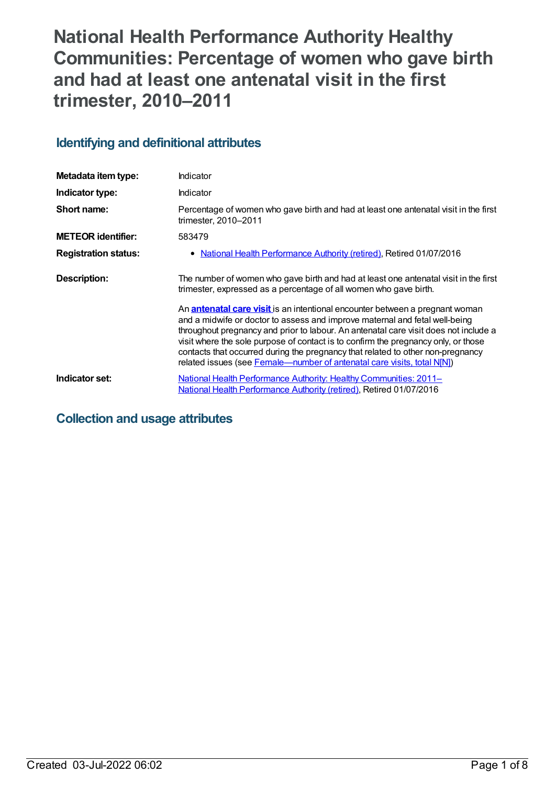# **National Health Performance Authority Healthy Communities: Percentage of women who gave birth and had at least one antenatal visit in the first trimester, 2010–2011**

# **Identifying and definitional attributes**

| Metadata item type:         | Indicator                                                                                                                                                                                                                                                                                                                                                                                                                                                                                                      |
|-----------------------------|----------------------------------------------------------------------------------------------------------------------------------------------------------------------------------------------------------------------------------------------------------------------------------------------------------------------------------------------------------------------------------------------------------------------------------------------------------------------------------------------------------------|
| Indicator type:             | Indicator                                                                                                                                                                                                                                                                                                                                                                                                                                                                                                      |
| Short name:                 | Percentage of women who gave birth and had at least one antenatal visit in the first<br>trimester, 2010-2011                                                                                                                                                                                                                                                                                                                                                                                                   |
| <b>METEOR identifier:</b>   | 583479                                                                                                                                                                                                                                                                                                                                                                                                                                                                                                         |
| <b>Registration status:</b> | National Health Performance Authority (retired), Retired 01/07/2016                                                                                                                                                                                                                                                                                                                                                                                                                                            |
| Description:                | The number of women who gave birth and had at least one antenatal visit in the first<br>trimester, expressed as a percentage of all women who gave birth.                                                                                                                                                                                                                                                                                                                                                      |
|                             | An <b>antenatal care visit</b> is an intentional encounter between a pregnant woman<br>and a midwife or doctor to assess and improve maternal and fetal well-being<br>throughout pregnancy and prior to labour. An antenatal care visit does not include a<br>visit where the sole purpose of contact is to confirm the pregnancy only, or those<br>contacts that occurred during the pregnancy that related to other non-pregnancy<br>related issues (see Female—number of antenatal care visits, total N[N]) |
| Indicator set:              | <b>National Health Performance Authority: Healthy Communities: 2011–</b><br>National Health Performance Authority (retired), Retired 01/07/2016                                                                                                                                                                                                                                                                                                                                                                |

# **Collection and usage attributes**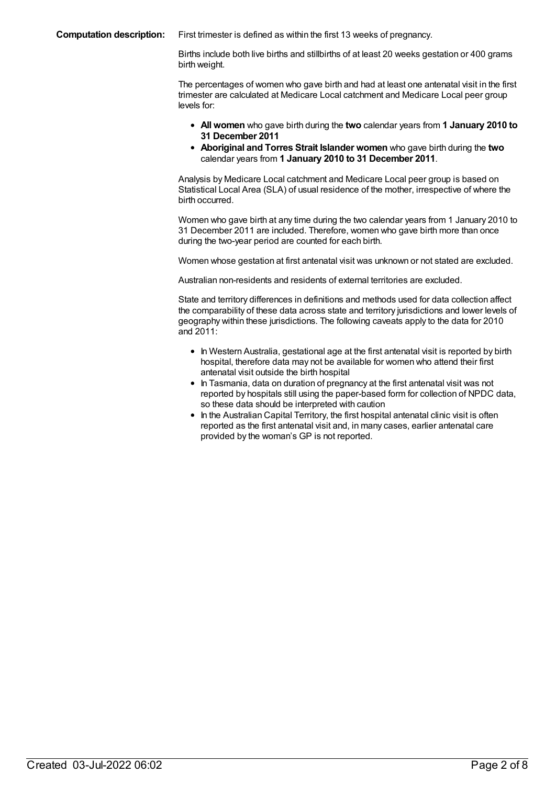**Computation description:** First trimester is defined as within the first 13 weeks of pregnancy.

Births include both live births and stillbirths of at least 20 weeks gestation or 400 grams birth weight.

The percentages of women who gave birth and had at least one antenatal visit in the first trimester are calculated at Medicare Local catchment and Medicare Local peer group levels for:

- **All women** who gave birth during the **two** calendar years from **1 January 2010 to 31 December 2011**
- **Aboriginal and Torres Strait Islander women** who gave birth during the **two** calendar years from **1 January 2010 to 31 December 2011**.

Analysis by Medicare Local catchment and Medicare Local peer group is based on Statistical Local Area (SLA) of usual residence of the mother, irrespective of where the birth occurred.

Women who gave birth at any time during the two calendar years from 1 January 2010 to 31 December 2011 are included. Therefore, women who gave birth more than once during the two-year period are counted for each birth.

Women whose gestation at first antenatal visit was unknown or not stated are excluded.

Australian non-residents and residents of external territories are excluded.

State and territory differences in definitions and methods used for data collection affect the comparability of these data across state and territory jurisdictions and lower levels of geography within these jurisdictions. The following caveats apply to the data for 2010 and 2011:

- In Western Australia, gestational age at the first antenatal visit is reported by birth hospital, therefore data may not be available for women who attend their first antenatal visit outside the birth hospital
- $\bullet$  In Tasmania, data on duration of pregnancy at the first antenatal visit was not reported by hospitals still using the paper-based form for collection of NPDC data, so these data should be interpreted with caution
- $\bullet$  In the Australian Capital Territory, the first hospital antenatal clinic visit is often reported as the first antenatal visit and, in many cases, earlier antenatal care provided by the woman's GP is not reported.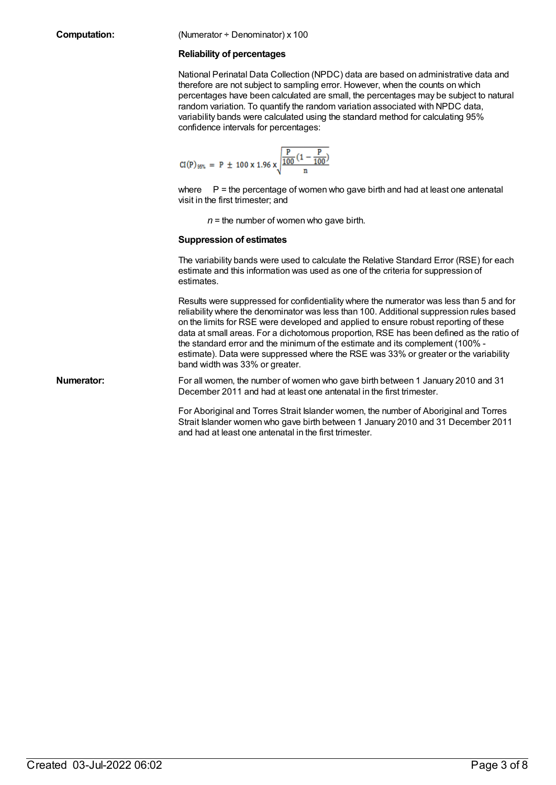#### **Computation:** (Numerator ÷ Denominator) x 100

#### **Reliability of percentages**

National Perinatal Data Collection (NPDC) data are based on administrative data and therefore are not subject to sampling error. However, when the counts on which percentages have been calculated are small, the percentages may be subject to natural random variation. To quantify the random variation associated with NPDC data, variability bands were calculated using the standard method for calculating 95% confidence intervals for percentages:

$$
CI(P)_{95\%} = P \pm 100 \times 1.96 \times \sqrt{\frac{P}{\frac{100}{n} (1 - \frac{P}{100})}}
$$

where P = the percentage of women who gave birth and had at least one antenatal visit in the first trimester; and

 $n =$  the number of women who gave birth.

#### **Suppression of estimates**

The variability bands were used to calculate the Relative Standard Error (RSE) for each estimate and this information was used as one of the criteria for suppression of estimates.

Results were suppressed for confidentiality where the numerator was less than 5 and for reliability where the denominator was less than 100. Additional suppression rules based on the limits for RSE were developed and applied to ensure robust reporting of these data at small areas. For a dichotomous proportion, RSE has been defined as the ratio of the standard error and the minimum of the estimate and its complement (100% estimate). Data were suppressed where the RSE was 33% or greater or the variability band width was 33% or greater.

**Numerator:** For all women, the number of women who gave birth between 1 January 2010 and 31 December 2011 and had at least one antenatal in the first trimester.

> For Aboriginal and Torres Strait Islander women, the number of Aboriginal and Torres Strait Islander women who gave birth between 1 January 2010 and 31 December 2011 and had at least one antenatal in the first trimester.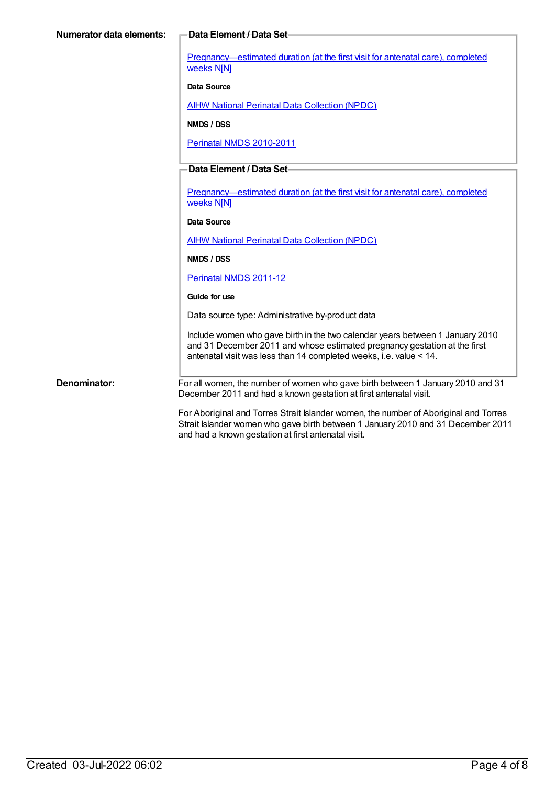[Pregnancy—estimated](https://meteor.aihw.gov.au/content/379597) duration (at the first visit for antenatal care), completed weeks N[N]

#### **Data Source**

**AIHW National Perinatal Data [Collection](https://meteor.aihw.gov.au/content/392479) (NPDC)** 

**NMDS / DSS**

Perinatal NMDS [2010-2011](https://meteor.aihw.gov.au/content/363256)

### **Data Element / Data Set**

[Pregnancy—estimated](https://meteor.aihw.gov.au/content/379597) duration (at the first visit for antenatal care), completed weeks N[N]

#### **Data Source**

**AIHW National Perinatal Data [Collection](https://meteor.aihw.gov.au/content/392479) (NPDC)** 

**NMDS / DSS**

[Perinatal](https://meteor.aihw.gov.au/content/426735) NMDS 2011-12

#### **Guide for use**

Data source type: Administrative by-product data

Include women who gave birth in the two calendar years between 1 January 2010 and 31 December 2011 and whose estimated pregnancy gestation at the first antenatal visit was less than 14 completed weeks, i.e. value < 14.

**Denominator:** For all women, the number of women who gave birth between 1 January 2010 and 31 December 2011 and had a known gestation at first antenatal visit.

> For Aboriginal and Torres Strait Islander women, the number of Aboriginal and Torres Strait Islander women who gave birth between 1 January 2010 and 31 December 2011 and had a known gestation at first antenatal visit.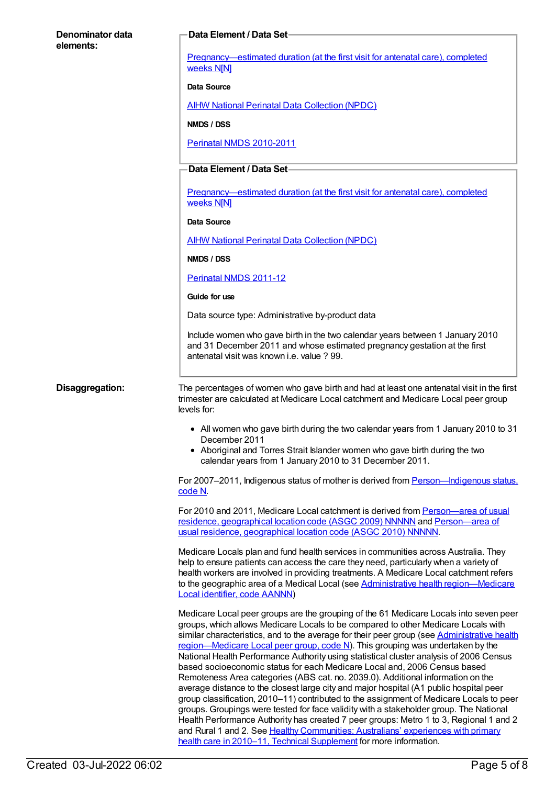# **Denominator data elements: Data Element / Data Set** [Pregnancy—estimated](https://meteor.aihw.gov.au/content/379597) duration (at the first visit for antenatal care), completed weeks N[N] **Data Source AIHW National Perinatal Data [Collection](https://meteor.aihw.gov.au/content/392479) (NPDC) NMDS / DSS** Perinatal NMDS [2010-2011](https://meteor.aihw.gov.au/content/363256) **Data Element / Data Set** [Pregnancy—estimated](https://meteor.aihw.gov.au/content/379597) duration (at the first visit for antenatal care), completed weeks N[N] **Data Source** AIHW National Perinatal Data [Collection](https://meteor.aihw.gov.au/content/392479) (NPDC) **NMDS / DSS** [Perinatal](https://meteor.aihw.gov.au/content/426735) NMDS 2011-12 **Guide for use** Data source type: Administrative by-product data Include women who gave birth in the two calendar years between 1 January 2010 and 31 December 2011 and whose estimated pregnancy gestation at the first antenatal visit was known i.e. value ? 99. **Disaggregation:** The percentages of women who gave birth and had at least one antenatal visit in the first trimester are calculated at Medicare Local catchment and Medicare Local peer group levels for: All women who gave birth during the two calendar years from 1 January 2010 to 31 December 2011 Aboriginal and Torres Strait Islander women who gave birth during the two calendar years from 1 January 2010 to 31 December 2011. For 2007–2011, Indigenous status of mother is derived from [Person—Indigenous](file:///content/291036) status, code N. For 2010 and 2011, Medicare Local catchment is derived from [Person—area](file:///content/386783) of usual residence, geographical location code (ASGC 2009) NNNNN and [Person—area](file:///content/426285) of usual residence, geographical location code (ASGC 2010) NNNNN. Medicare Locals plan and fund health services in communities across Australia. They help to ensure patients can access the care they need, particularly when a variety of health workers are involved in providing treatments. A Medicare Local catchment refers to the geographic area of a Medical Local (see Administrative health region-Medicare Local identifier, code AANNN) Medicare Local peer groups are the grouping of the 61 Medicare Locals into seven peer groups, which allows Medicare Locals to be compared to other Medicare Locals with similar characteristics, and to the average for their peer group (see Administrative health [region—Medicare](file:///content/550733) Local peer group, code N). This grouping was undertaken by the National Health Performance Authority using statistical cluster analysis of 2006 Census based socioeconomic status for each Medicare Local and, 2006 Census based Remoteness Area categories (ABS cat. no. 2039.0). Additional information on the average distance to the closest large city and major hospital (A1 public hospital peer group classification, 2010–11) contributed to the assignment of Medicare Locals to peer groups. Groupings were tested for face validity with a stakeholder group. The National Health Performance Authority has created 7 peer groups: Metro 1 to 3, Regional 1 and 2 and Rural 1 and 2. See Healthy [Communities:](http://www.myhealthycommunities.gov.au/Content/publications/downloads/NHPA_HC_Report_Patient_Exp_Technical_Supplement_March_2013.pdf) Australians' experiences with primary

health care in 2010–11, Technical Supplement for more information.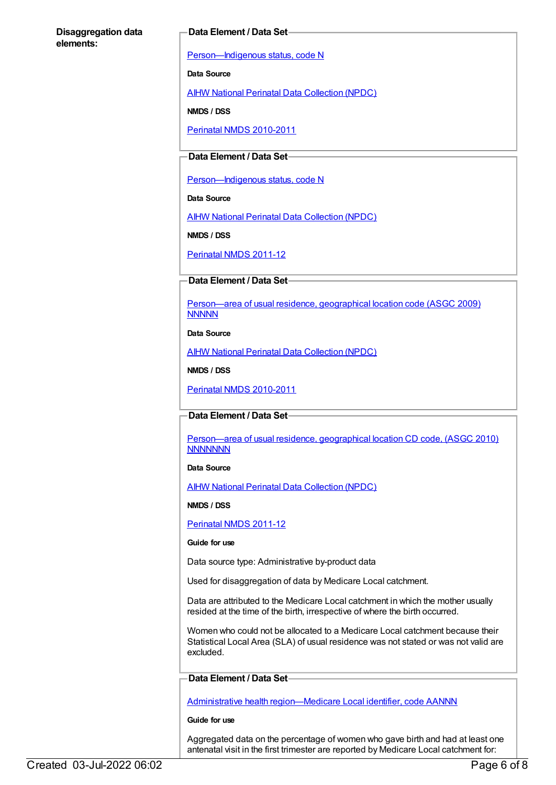#### **Data Element / Data Set**

Person-Indigenous status, code N

**Data Source**

AIHW National Perinatal Data [Collection](https://meteor.aihw.gov.au/content/392479) (NPDC)

**NMDS / DSS**

Perinatal NMDS [2010-2011](https://meteor.aihw.gov.au/content/363256)

### **Data Element / Data Set**

Person-Indigenous status, code N

**Data Source**

AIHW National Perinatal Data [Collection](https://meteor.aihw.gov.au/content/392479) (NPDC)

**NMDS / DSS**

[Perinatal](https://meteor.aihw.gov.au/content/426735) NMDS 2011-12

### **Data Element / Data Set**

[Person—area](https://meteor.aihw.gov.au/content/386783) of usual residence, geographical location code (ASGC 2009) **NNNNN** 

**Data Source**

AIHW National Perinatal Data [Collection](https://meteor.aihw.gov.au/content/392479) (NPDC)

**NMDS / DSS**

Perinatal NMDS [2010-2011](https://meteor.aihw.gov.au/content/363256)

#### **Data Element / Data Set**

[Person—area](https://meteor.aihw.gov.au/content/413233) of usual residence, geographical location CD code, (ASGC 2010) **NNNNNNN** 

#### **Data Source**

AIHW National Perinatal Data [Collection](https://meteor.aihw.gov.au/content/392479) (NPDC)

**NMDS / DSS**

[Perinatal](https://meteor.aihw.gov.au/content/426735) NMDS 2011-12

#### **Guide for use**

Data source type: Administrative by-product data

Used for disaggregation of data by Medicare Local catchment.

Data are attributed to the Medicare Local catchment in which the mother usually resided at the time of the birth, irrespective of where the birth occurred.

Women who could not be allocated to a Medicare Local catchment because their Statistical Local Area (SLA) of usual residence was not stated or was not valid are excluded.

#### **Data Element / Data Set**

Administrative health [region—Medicare](https://meteor.aihw.gov.au/content/513288) Local identifier, code AANNN

#### **Guide for use**

Aggregated data on the percentage of women who gave birth and had at least one antenatal visit in the first trimester are reported by Medicare Local catchment for: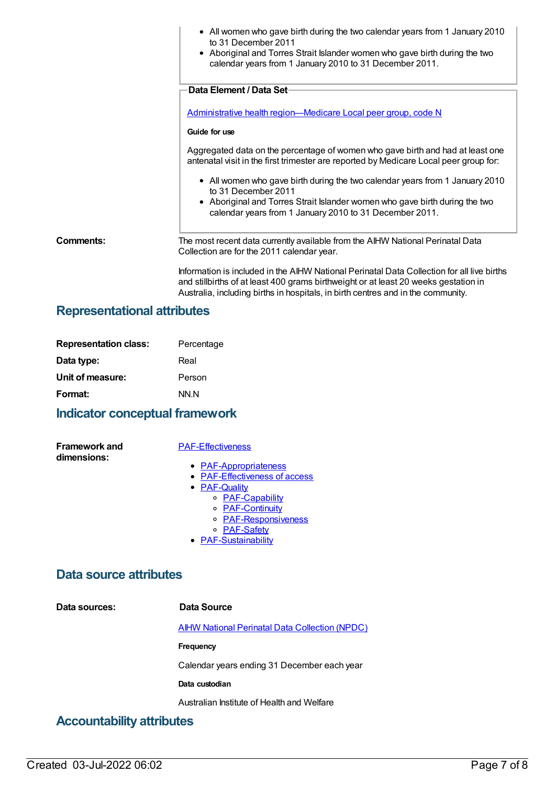|           | • All women who gave birth during the two calendar years from 1 January 2010<br>to 31 December 2011<br>• Aboriginal and Torres Strait Islander women who gave birth during the two<br>calendar years from 1 January 2010 to 31 December 2011.                         |
|-----------|-----------------------------------------------------------------------------------------------------------------------------------------------------------------------------------------------------------------------------------------------------------------------|
|           | Data Element / Data Set-                                                                                                                                                                                                                                              |
|           | Administrative health region-Medicare Local peer group, code N                                                                                                                                                                                                        |
|           | Guide for use                                                                                                                                                                                                                                                         |
|           | Aggregated data on the percentage of women who gave birth and had at least one<br>antenatal visit in the first trimester are reported by Medicare Local peer group for:                                                                                               |
|           | • All women who gave birth during the two calendar years from 1 January 2010<br>to 31 December 2011                                                                                                                                                                   |
|           | • Aboriginal and Torres Strait Islander women who gave birth during the two<br>calendar years from 1 January 2010 to 31 December 2011.                                                                                                                                |
| Comments: | The most recent data currently available from the AIHW National Perinatal Data<br>Collection are for the 2011 calendar year.                                                                                                                                          |
|           | Information is included in the AIHW National Perinatal Data Collection for all live births<br>and stillbirths of at least 400 grams birthweight or at least 20 weeks gestation in<br>Australia, including births in hospitals, in birth centres and in the community. |

# **Representational attributes**

| <b>Representation class:</b> | Percentage |
|------------------------------|------------|
| Data type:                   | Real       |
| Unit of measure:             | Person     |
| Format:                      | NN.N       |

# **Indicator conceptual framework**

**Framework and dimensions:**

#### [PAF-Effectiveness](https://meteor.aihw.gov.au/content/554925)

- [PAF-Appropriateness](https://meteor.aihw.gov.au/content/554929)
- **[PAF-Effectiveness](https://meteor.aihw.gov.au/content/554928) of access**
- **[PAF-Quality](https://meteor.aihw.gov.au/content/554930)** 
	- o **[PAF-Capability](https://meteor.aihw.gov.au/content/554934)**
	- o **[PAF-Continuity](https://meteor.aihw.gov.au/content/554935)**
	- o [PAF-Responsiveness](https://meteor.aihw.gov.au/content/554933)
	- o **[PAF-Safety](https://meteor.aihw.gov.au/content/554932)**
- **[PAF-Sustainability](https://meteor.aihw.gov.au/content/554931)**

## **Data source attributes**

**Data sources: Data Source** AIHW National Perinatal Data [Collection](https://meteor.aihw.gov.au/content/392479) (NPDC) **Frequency** Calendar years ending 31 December each year **Data custodian**

Australian Institute of Health and Welfare

# **Accountability attributes**